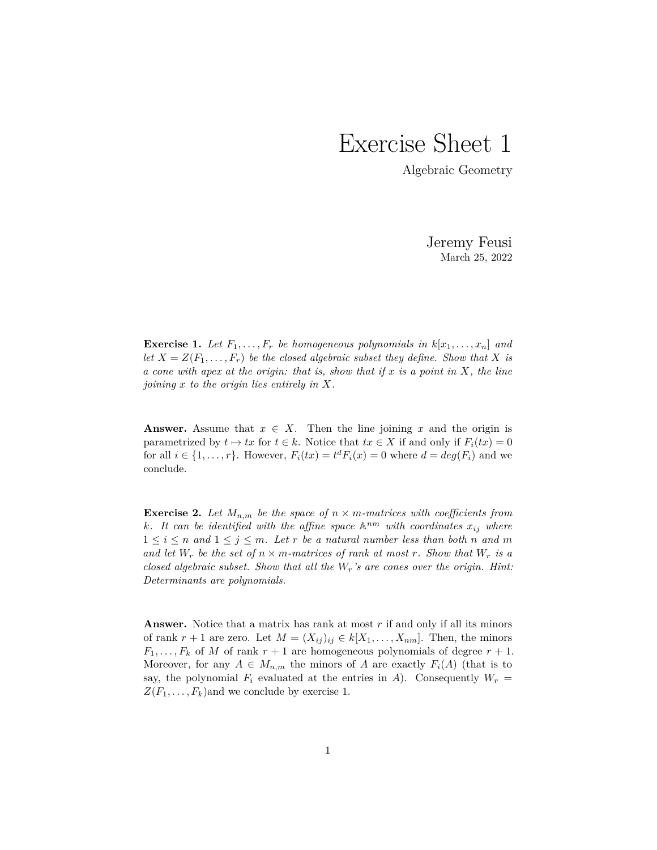## Exercise Sheet 1

Algebraic Geometry

Jeremy Feusi March 25, 2022

**Exercise 1.** Let  $F_1, \ldots, F_r$  be homogeneous polynomials in  $k[x_1, \ldots, x_n]$  and let  $X = Z(F_1, \ldots, F_r)$  be the closed algebraic subset they define. Show that X is *a cone with apex at the origin: that is, show that if x is a point in X, the line joining x to the origin lies entirely in X.*

**Answer.** Assume that  $x \in X$ . Then the line joining  $x$  and the origin is parametrized by  $t \mapsto tx$  for  $t \in k$ . Notice that  $tx \in X$  if and only if  $F_i(tx) = 0$ for all  $i \in \{1, \ldots, r\}$ . However,  $F_i(tx) = t^d F_i(x) = 0$  where  $d = deg(F_i)$  and we conclude.

**Exercise 2.** Let  $M_{n,m}$  be the space of  $n \times m$ *-matrices with coefficients from k.* It can be identified with the affine space  $\mathbb{A}^{nm}$  with coordinates  $x_{ij}$  where  $1 \leq i \leq n$  and  $1 \leq j \leq m$ . Let r be a natural number less than both n and m *and let*  $W_r$  *be the set of*  $n \times m$ *-matrices of rank at most*  $r$ *. Show that*  $W_r$  *is a closed algebraic subset. Show that all the Wr's are cones over the origin. Hint: Determinants are polynomials.*

**Answer.** Notice that a matrix has rank at most *r* if and only if all its minors of rank  $r + 1$  are zero. Let  $M = (X_{ij})_{ij} \in k[X_1, \ldots, X_{nm}]$ . Then, the minors  $F_1, \ldots, F_k$  of *M* of rank  $r + 1$  are homogeneous polynomials of degree  $r + 1$ . Moreover, for any  $A \in M_{n,m}$  the minors of *A* are exactly  $F_i(A)$  (that is to say, the polynomial  $F_i$  evaluated at the entries in *A*). Consequently  $W_r =$  $Z(F_1, \ldots, F_k)$  and we conclude by exercise 1.